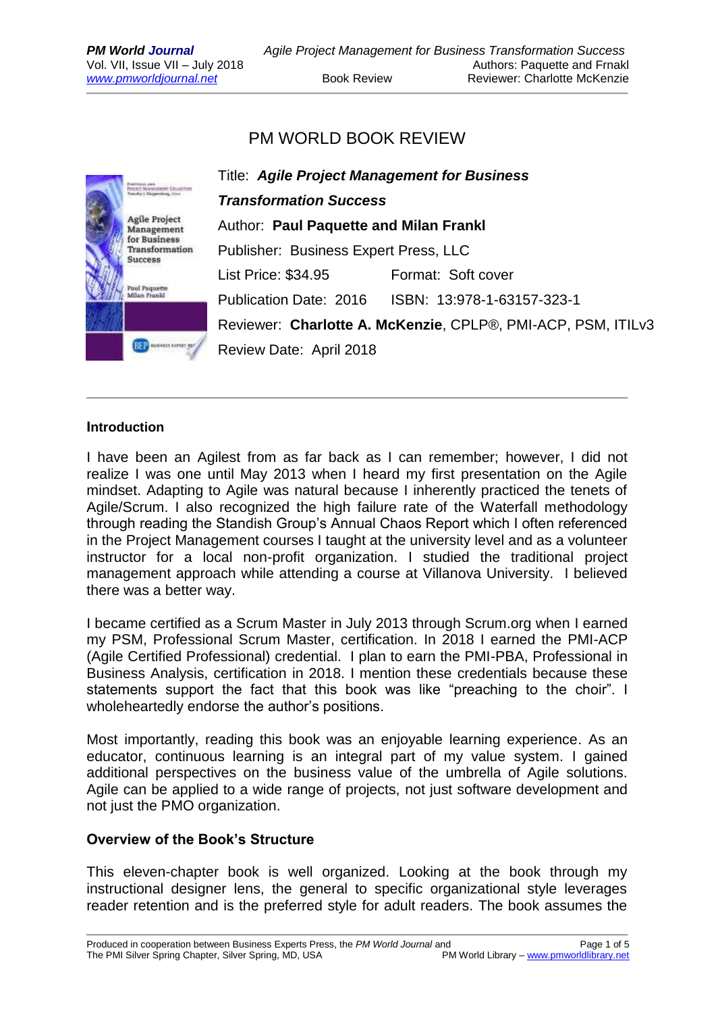## PM WORLD BOOK REVIEW



### **Introduction**

I have been an Agilest from as far back as I can remember; however, I did not realize I was one until May 2013 when I heard my first presentation on the Agile mindset. Adapting to Agile was natural because I inherently practiced the tenets of Agile/Scrum. I also recognized the high failure rate of the Waterfall methodology through reading the Standish Group's Annual Chaos Report which I often referenced in the Project Management courses I taught at the university level and as a volunteer instructor for a local non-profit organization. I studied the traditional project management approach while attending a course at Villanova University. I believed there was a better way.

I became certified as a Scrum Master in July 2013 through Scrum.org when I earned my PSM, Professional Scrum Master, certification. In 2018 I earned the PMI-ACP (Agile Certified Professional) credential. I plan to earn the PMI-PBA, Professional in Business Analysis, certification in 2018. I mention these credentials because these statements support the fact that this book was like "preaching to the choir". I wholeheartedly endorse the author's positions.

Most importantly, reading this book was an enjoyable learning experience. As an educator, continuous learning is an integral part of my value system. I gained additional perspectives on the business value of the umbrella of Agile solutions. Agile can be applied to a wide range of projects, not just software development and not just the PMO organization.

### **Overview of the Book's Structure**

This eleven-chapter book is well organized. Looking at the book through my instructional designer lens, the general to specific organizational style leverages reader retention and is the preferred style for adult readers. The book assumes the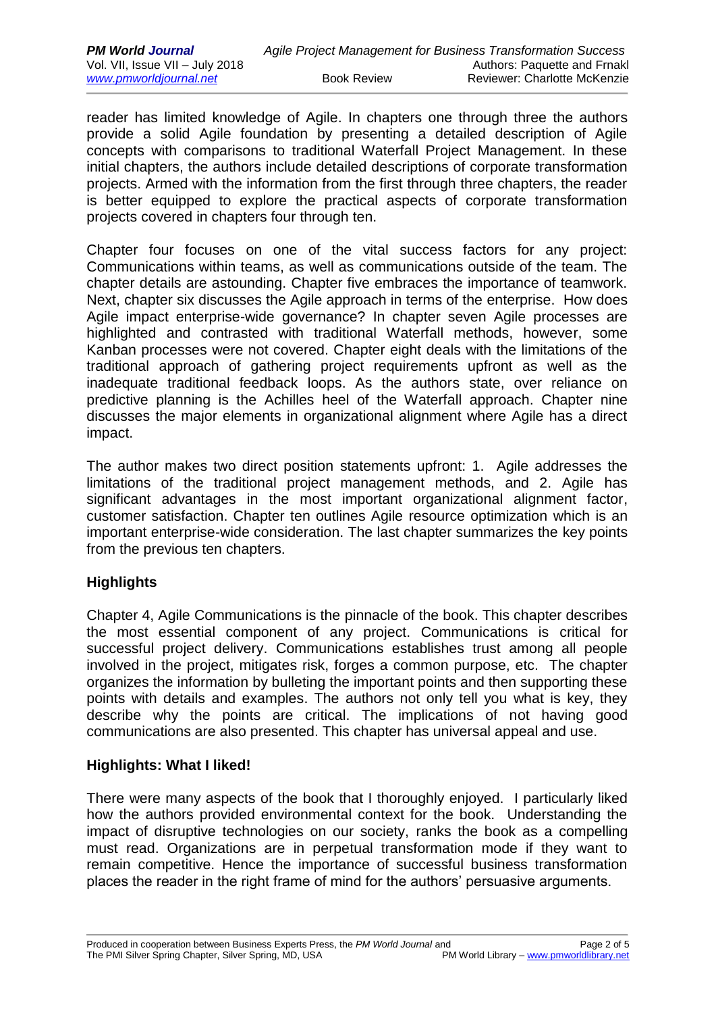reader has limited knowledge of Agile. In chapters one through three the authors provide a solid Agile foundation by presenting a detailed description of Agile concepts with comparisons to traditional Waterfall Project Management. In these initial chapters, the authors include detailed descriptions of corporate transformation projects. Armed with the information from the first through three chapters, the reader is better equipped to explore the practical aspects of corporate transformation projects covered in chapters four through ten.

Chapter four focuses on one of the vital success factors for any project: Communications within teams, as well as communications outside of the team. The chapter details are astounding. Chapter five embraces the importance of teamwork. Next, chapter six discusses the Agile approach in terms of the enterprise. How does Agile impact enterprise-wide governance? In chapter seven Agile processes are highlighted and contrasted with traditional Waterfall methods, however, some Kanban processes were not covered. Chapter eight deals with the limitations of the traditional approach of gathering project requirements upfront as well as the inadequate traditional feedback loops. As the authors state, over reliance on predictive planning is the Achilles heel of the Waterfall approach. Chapter nine discusses the major elements in organizational alignment where Agile has a direct impact.

The author makes two direct position statements upfront: 1. Agile addresses the limitations of the traditional project management methods, and 2. Agile has significant advantages in the most important organizational alignment factor, customer satisfaction. Chapter ten outlines Agile resource optimization which is an important enterprise-wide consideration. The last chapter summarizes the key points from the previous ten chapters.

## **Highlights**

Chapter 4, Agile Communications is the pinnacle of the book. This chapter describes the most essential component of any project. Communications is critical for successful project delivery. Communications establishes trust among all people involved in the project, mitigates risk, forges a common purpose, etc. The chapter organizes the information by bulleting the important points and then supporting these points with details and examples. The authors not only tell you what is key, they describe why the points are critical. The implications of not having good communications are also presented. This chapter has universal appeal and use.

## **Highlights: What I liked!**

There were many aspects of the book that I thoroughly enjoyed. I particularly liked how the authors provided environmental context for the book. Understanding the impact of disruptive technologies on our society, ranks the book as a compelling must read. Organizations are in perpetual transformation mode if they want to remain competitive. Hence the importance of successful business transformation places the reader in the right frame of mind for the authors' persuasive arguments.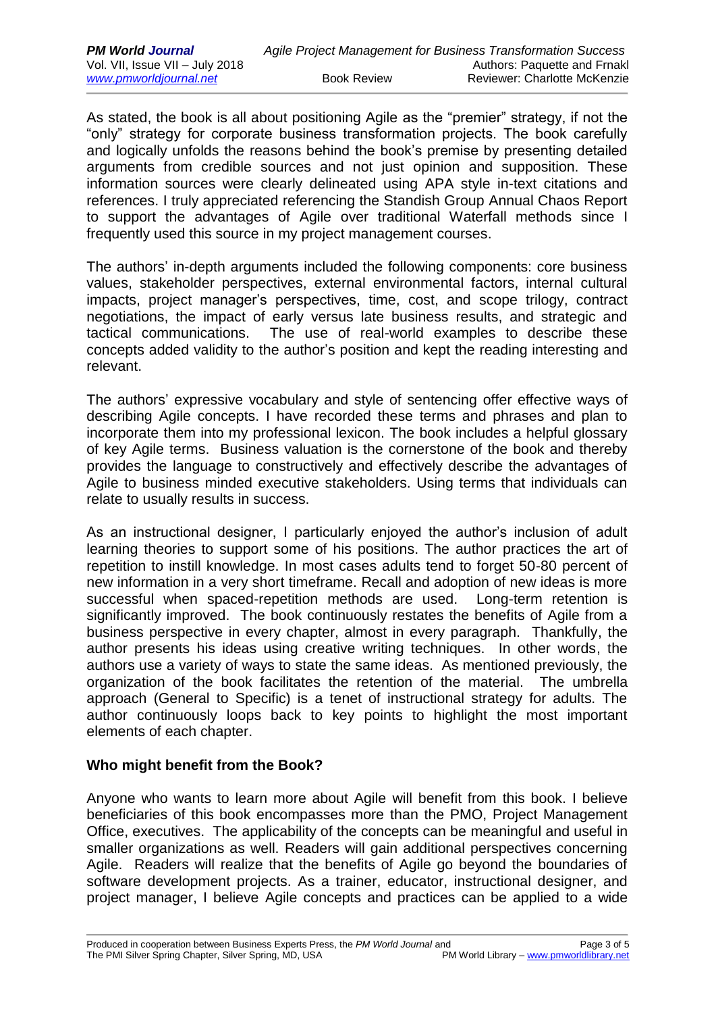As stated, the book is all about positioning Agile as the "premier" strategy, if not the "only" strategy for corporate business transformation projects. The book carefully and logically unfolds the reasons behind the book's premise by presenting detailed arguments from credible sources and not just opinion and supposition. These information sources were clearly delineated using APA style in-text citations and references. I truly appreciated referencing the Standish Group Annual Chaos Report to support the advantages of Agile over traditional Waterfall methods since I frequently used this source in my project management courses.

The authors' in-depth arguments included the following components: core business values, stakeholder perspectives, external environmental factors, internal cultural impacts, project manager's perspectives, time, cost, and scope trilogy, contract negotiations, the impact of early versus late business results, and strategic and tactical communications. The use of real-world examples to describe these concepts added validity to the author's position and kept the reading interesting and relevant.

The authors' expressive vocabulary and style of sentencing offer effective ways of describing Agile concepts. I have recorded these terms and phrases and plan to incorporate them into my professional lexicon. The book includes a helpful glossary of key Agile terms. Business valuation is the cornerstone of the book and thereby provides the language to constructively and effectively describe the advantages of Agile to business minded executive stakeholders. Using terms that individuals can relate to usually results in success.

As an instructional designer, I particularly enjoyed the author's inclusion of adult learning theories to support some of his positions. The author practices the art of repetition to instill knowledge. In most cases adults tend to forget 50-80 percent of new information in a very short timeframe. Recall and adoption of new ideas is more successful when spaced-repetition methods are used. Long-term retention is significantly improved. The book continuously restates the benefits of Agile from a business perspective in every chapter, almost in every paragraph. Thankfully, the author presents his ideas using creative writing techniques. In other words, the authors use a variety of ways to state the same ideas. As mentioned previously, the organization of the book facilitates the retention of the material. The umbrella approach (General to Specific) is a tenet of instructional strategy for adults. The author continuously loops back to key points to highlight the most important elements of each chapter.

### **Who might benefit from the Book?**

Anyone who wants to learn more about Agile will benefit from this book. I believe beneficiaries of this book encompasses more than the PMO, Project Management Office, executives. The applicability of the concepts can be meaningful and useful in smaller organizations as well. Readers will gain additional perspectives concerning Agile. Readers will realize that the benefits of Agile go beyond the boundaries of software development projects. As a trainer, educator, instructional designer, and project manager, I believe Agile concepts and practices can be applied to a wide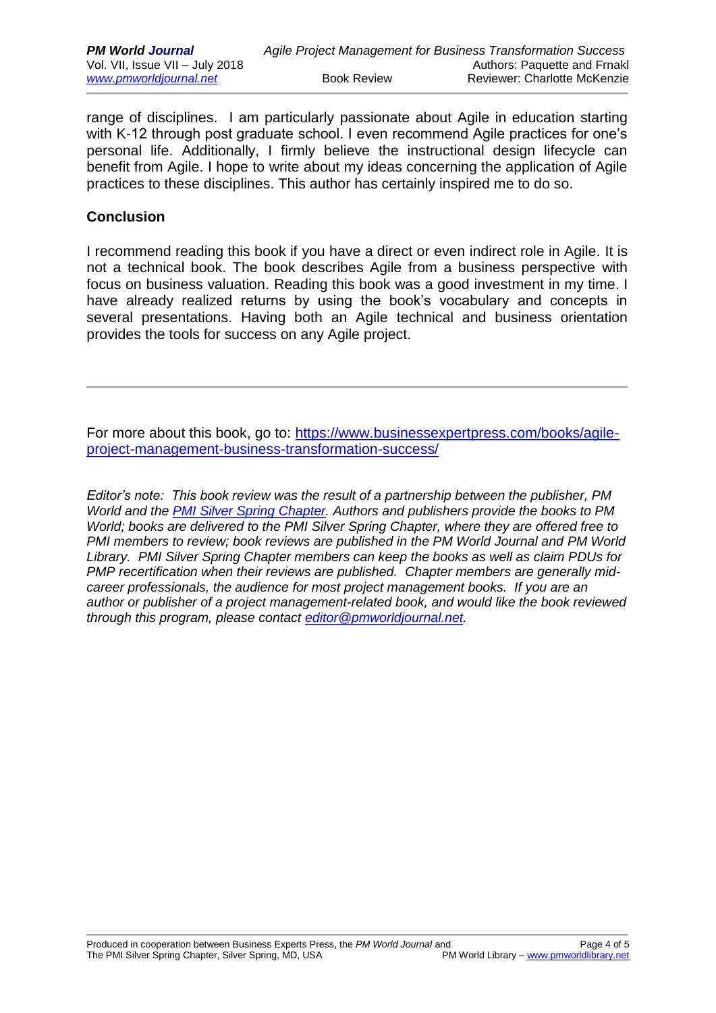range of disciplines. I am particularly passionate about Agile in education starting with K-12 through post graduate school. I even recommend Agile practices for one's personal life. Additionally, I firmly believe the instructional design lifecycle can benefit from Agile. I hope to write about my ideas concerning the application of Agile practices to these disciplines. This author has certainly inspired me to do so.

#### **Conclusion**

I recommend reading this book if you have a direct or even indirect role in Agile. It is not a technical book. The book describes Agile from a business perspective with focus on business valuation. Reading this book was a good investment in my time. I have already realized returns by using the book's vocabulary and concepts in several presentations. Having both an Agile technical and business orientation provides the tools for success on any Agile project.

For more about this book, go to: [https://www.businessexpertpress.com/books/agile](https://www.businessexpertpress.com/books/agile-project-management-business-transformation-success/)[project-management-business-transformation-success/](https://www.businessexpertpress.com/books/agile-project-management-business-transformation-success/)

*Editor's note: This book review was the result of a partnership between the publisher, PM World and the [PMI Silver Spring](https://pmissc.org/) Chapter. Authors and publishers provide the books to PM World; books are delivered to the PMI Silver Spring Chapter, where they are offered free to PMI members to review; book reviews are published in the PM World Journal and PM World Library. PMI Silver Spring Chapter members can keep the books as well as claim PDUs for PMP recertification when their reviews are published. Chapter members are generally midcareer professionals, the audience for most project management books. If you are an author or publisher of a project management-related book, and would like the book reviewed through this program, please contact [editor@pmworldjournal.net.](mailto:editor@pmworldjournal.net)*